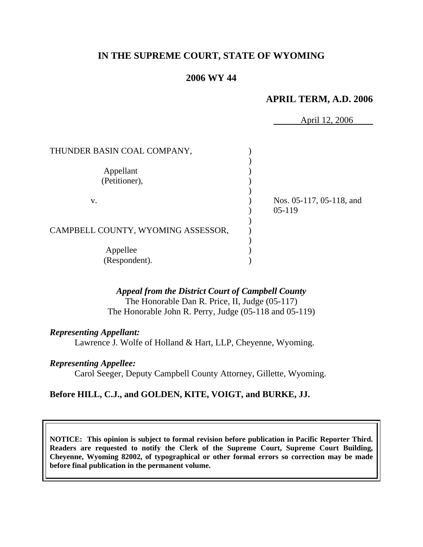# **IN THE SUPREME COURT, STATE OF WYOMING**

# **2006 WY 44**

### **APRIL TERM, A.D. 2006**

April 12, 2006

| THUNDER BASIN COAL COMPANY,        |                          |
|------------------------------------|--------------------------|
|                                    |                          |
| Appellant                          |                          |
| (Petitioner),                      |                          |
|                                    |                          |
| V.                                 | Nos. 05-117, 05-118, and |
|                                    | $05-119$                 |
|                                    |                          |
| CAMPBELL COUNTY, WYOMING ASSESSOR, |                          |
|                                    |                          |
| Appellee                           |                          |
| (Respondent).                      |                          |

### *Appeal from the District Court of Campbell County*

The Honorable Dan R. Price, II, Judge (05-117) The Honorable John R. Perry, Judge (05-118 and 05-119)

#### *Representing Appellant:*

Lawrence J. Wolfe of Holland & Hart, LLP, Cheyenne, Wyoming.

#### *Representing Appellee:*

Carol Seeger, Deputy Campbell County Attorney, Gillette, Wyoming.

### **Before HILL, C.J., and GOLDEN, KITE, VOIGT, and BURKE, JJ.**

**NOTICE: This opinion is subject to formal revision before publication in Pacific Reporter Third. Readers are requested to notify the Clerk of the Supreme Court, Supreme Court Building, Cheyenne, Wyoming 82002, of typographical or other formal errors so correction may be made before final publication in the permanent volume.**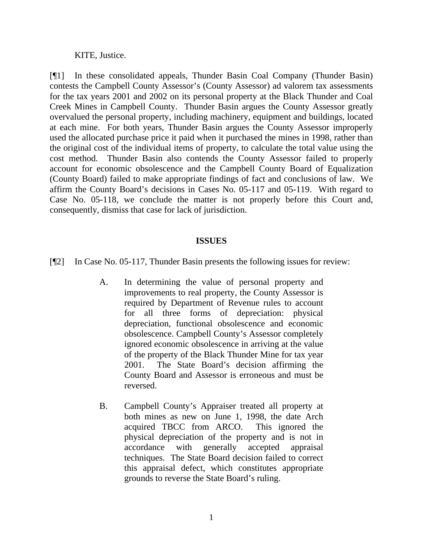KITE, Justice.

[¶1] In these consolidated appeals, Thunder Basin Coal Company (Thunder Basin) contests the Campbell County Assessor's (County Assessor) ad valorem tax assessments for the tax years 2001 and 2002 on its personal property at the Black Thunder and Coal Creek Mines in Campbell County. Thunder Basin argues the County Assessor greatly overvalued the personal property, including machinery, equipment and buildings, located at each mine. For both years, Thunder Basin argues the County Assessor improperly used the allocated purchase price it paid when it purchased the mines in 1998, rather than the original cost of the individual items of property, to calculate the total value using the cost method. Thunder Basin also contends the County Assessor failed to properly account for economic obsolescence and the Campbell County Board of Equalization (County Board) failed to make appropriate findings of fact and conclusions of law. We affirm the County Board's decisions in Cases No. 05-117 and 05-119. With regard to Case No. 05-118, we conclude the matter is not properly before this Court and, consequently, dismiss that case for lack of jurisdiction.

### **ISSUES**

[¶2] In Case No. 05-117, Thunder Basin presents the following issues for review:

- A. In determining the value of personal property and improvements to real property, the County Assessor is required by Department of Revenue rules to account for all three forms of depreciation: physical depreciation, functional obsolescence and economic obsolescence. Campbell County's Assessor completely ignored economic obsolescence in arriving at the value of the property of the Black Thunder Mine for tax year 2001. The State Board's decision affirming the County Board and Assessor is erroneous and must be reversed.
- B. Campbell County's Appraiser treated all property at both mines as new on June 1, 1998, the date Arch acquired TBCC from ARCO. This ignored the physical depreciation of the property and is not in accordance with generally accepted appraisal techniques. The State Board decision failed to correct this appraisal defect, which constitutes appropriate grounds to reverse the State Board's ruling.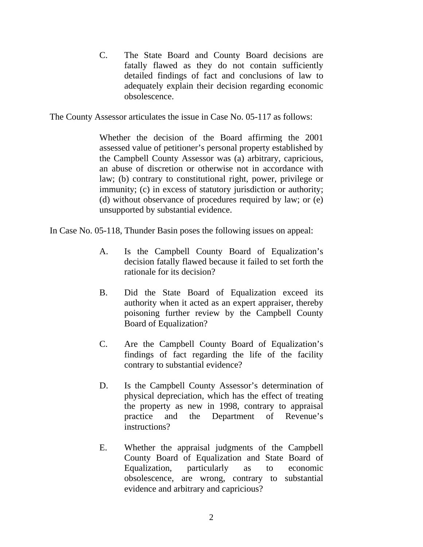C. The State Board and County Board decisions are fatally flawed as they do not contain sufficiently detailed findings of fact and conclusions of law to adequately explain their decision regarding economic obsolescence.

The County Assessor articulates the issue in Case No. 05-117 as follows:

Whether the decision of the Board affirming the 2001 assessed value of petitioner's personal property established by the Campbell County Assessor was (a) arbitrary, capricious, an abuse of discretion or otherwise not in accordance with law; (b) contrary to constitutional right, power, privilege or immunity; (c) in excess of statutory jurisdiction or authority; (d) without observance of procedures required by law; or (e) unsupported by substantial evidence.

In Case No. 05-118, Thunder Basin poses the following issues on appeal:

- A. Is the Campbell County Board of Equalization's decision fatally flawed because it failed to set forth the rationale for its decision?
- B. Did the State Board of Equalization exceed its authority when it acted as an expert appraiser, thereby poisoning further review by the Campbell County Board of Equalization?
- C. Are the Campbell County Board of Equalization's findings of fact regarding the life of the facility contrary to substantial evidence?
- D. Is the Campbell County Assessor's determination of physical depreciation, which has the effect of treating the property as new in 1998, contrary to appraisal practice and the Department of Revenue's instructions?
- E. Whether the appraisal judgments of the Campbell County Board of Equalization and State Board of Equalization, particularly as to economic obsolescence, are wrong, contrary to substantial evidence and arbitrary and capricious?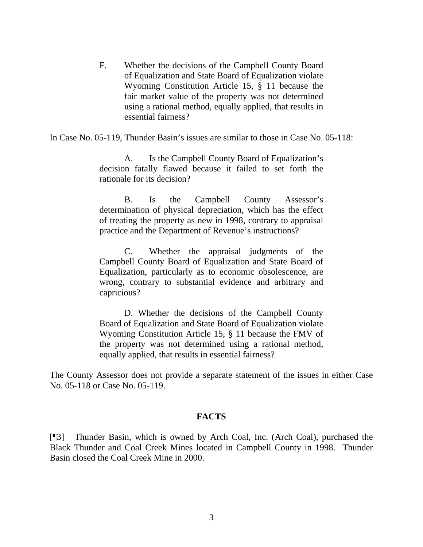F. Whether the decisions of the Campbell County Board of Equalization and State Board of Equalization violate Wyoming Constitution Article 15, § 11 because the fair market value of the property was not determined using a rational method, equally applied, that results in essential fairness?

In Case No. 05-119, Thunder Basin's issues are similar to those in Case No. 05-118:

A. Is the Campbell County Board of Equalization's decision fatally flawed because it failed to set forth the rationale for its decision?

B. Is the Campbell County Assessor's determination of physical depreciation, which has the effect of treating the property as new in 1998, contrary to appraisal practice and the Department of Revenue's instructions?

C. Whether the appraisal judgments of the Campbell County Board of Equalization and State Board of Equalization, particularly as to economic obsolescence, are wrong, contrary to substantial evidence and arbitrary and capricious?

D. Whether the decisions of the Campbell County Board of Equalization and State Board of Equalization violate Wyoming Constitution Article 15, § 11 because the FMV of the property was not determined using a rational method, equally applied, that results in essential fairness?

The County Assessor does not provide a separate statement of the issues in either Case No. 05-118 or Case No. 05-119.

### **FACTS**

[¶3] Thunder Basin, which is owned by Arch Coal, Inc. (Arch Coal), purchased the Black Thunder and Coal Creek Mines located in Campbell County in 1998. Thunder Basin closed the Coal Creek Mine in 2000.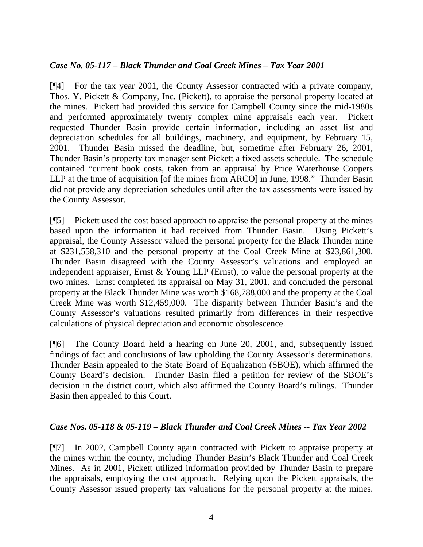# *Case No. 05-117 – Black Thunder and Coal Creek Mines – Tax Year 2001*

[¶4] For the tax year 2001, the County Assessor contracted with a private company, Thos. Y. Pickett & Company, Inc. (Pickett), to appraise the personal property located at the mines. Pickett had provided this service for Campbell County since the mid-1980s and performed approximately twenty complex mine appraisals each year. Pickett requested Thunder Basin provide certain information, including an asset list and depreciation schedules for all buildings, machinery, and equipment, by February 15, 2001. Thunder Basin missed the deadline, but, sometime after February 26, 2001, Thunder Basin's property tax manager sent Pickett a fixed assets schedule. The schedule contained "current book costs, taken from an appraisal by Price Waterhouse Coopers LLP at the time of acquisition [of the mines from ARCO] in June, 1998." Thunder Basin did not provide any depreciation schedules until after the tax assessments were issued by the County Assessor.

[¶5] Pickett used the cost based approach to appraise the personal property at the mines based upon the information it had received from Thunder Basin. Using Pickett's appraisal, the County Assessor valued the personal property for the Black Thunder mine at \$231,558,310 and the personal property at the Coal Creek Mine at \$23,861,300. Thunder Basin disagreed with the County Assessor's valuations and employed an independent appraiser, Ernst & Young LLP (Ernst), to value the personal property at the two mines. Ernst completed its appraisal on May 31, 2001, and concluded the personal property at the Black Thunder Mine was worth \$168,788,000 and the property at the Coal Creek Mine was worth \$12,459,000. The disparity between Thunder Basin's and the County Assessor's valuations resulted primarily from differences in their respective calculations of physical depreciation and economic obsolescence.

[¶6] The County Board held a hearing on June 20, 2001, and, subsequently issued findings of fact and conclusions of law upholding the County Assessor's determinations. Thunder Basin appealed to the State Board of Equalization (SBOE), which affirmed the County Board's decision. Thunder Basin filed a petition for review of the SBOE's decision in the district court, which also affirmed the County Board's rulings. Thunder Basin then appealed to this Court.

# *Case Nos. 05-118 & 05-119 – Black Thunder and Coal Creek Mines -- Tax Year 2002*

[¶7] In 2002, Campbell County again contracted with Pickett to appraise property at the mines within the county, including Thunder Basin's Black Thunder and Coal Creek Mines. As in 2001, Pickett utilized information provided by Thunder Basin to prepare the appraisals, employing the cost approach. Relying upon the Pickett appraisals, the County Assessor issued property tax valuations for the personal property at the mines.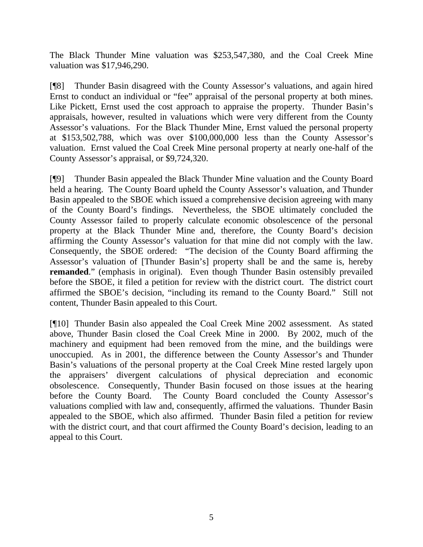The Black Thunder Mine valuation was \$253,547,380, and the Coal Creek Mine valuation was \$17,946,290.

[¶8] Thunder Basin disagreed with the County Assessor's valuations, and again hired Ernst to conduct an individual or "fee" appraisal of the personal property at both mines. Like Pickett, Ernst used the cost approach to appraise the property. Thunder Basin's appraisals, however, resulted in valuations which were very different from the County Assessor's valuations. For the Black Thunder Mine, Ernst valued the personal property at \$153,502,788, which was over \$100,000,000 less than the County Assessor's valuation. Ernst valued the Coal Creek Mine personal property at nearly one-half of the County Assessor's appraisal, or \$9,724,320.

[¶9] Thunder Basin appealed the Black Thunder Mine valuation and the County Board held a hearing. The County Board upheld the County Assessor's valuation, and Thunder Basin appealed to the SBOE which issued a comprehensive decision agreeing with many of the County Board's findings. Nevertheless, the SBOE ultimately concluded the County Assessor failed to properly calculate economic obsolescence of the personal property at the Black Thunder Mine and, therefore, the County Board's decision affirming the County Assessor's valuation for that mine did not comply with the law. Consequently, the SBOE ordered: "The decision of the County Board affirming the Assessor's valuation of [Thunder Basin's] property shall be and the same is, hereby **remanded**." (emphasis in original). Even though Thunder Basin ostensibly prevailed before the SBOE, it filed a petition for review with the district court. The district court affirmed the SBOE's decision, "including its remand to the County Board." Still not content, Thunder Basin appealed to this Court.

[¶10] Thunder Basin also appealed the Coal Creek Mine 2002 assessment. As stated above, Thunder Basin closed the Coal Creek Mine in 2000. By 2002, much of the machinery and equipment had been removed from the mine, and the buildings were unoccupied. As in 2001, the difference between the County Assessor's and Thunder Basin's valuations of the personal property at the Coal Creek Mine rested largely upon the appraisers' divergent calculations of physical depreciation and economic obsolescence. Consequently, Thunder Basin focused on those issues at the hearing before the County Board. The County Board concluded the County Assessor's valuations complied with law and, consequently, affirmed the valuations. Thunder Basin appealed to the SBOE, which also affirmed. Thunder Basin filed a petition for review with the district court, and that court affirmed the County Board's decision, leading to an appeal to this Court.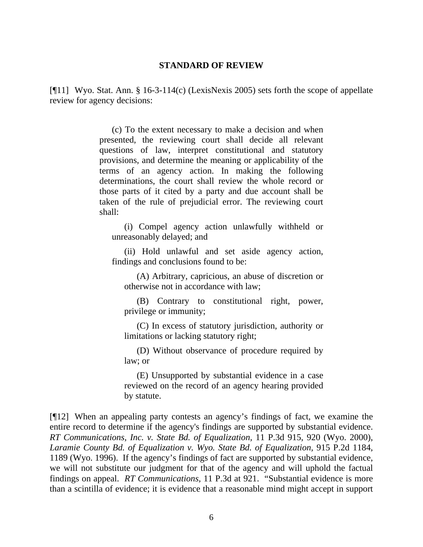#### **STANDARD OF REVIEW**

[¶11] Wyo. Stat. Ann. § 16-3-114(c) (LexisNexis 2005) sets forth the scope of appellate review for agency decisions:

> (c) To the extent necessary to make a decision and when presented, the reviewing court shall decide all relevant questions of law, interpret constitutional and statutory provisions, and determine the meaning or applicability of the terms of an agency action. In making the following determinations, the court shall review the whole record or those parts of it cited by a party and due account shall be taken of the rule of prejudicial error. The reviewing court shall:

(i) Compel agency action unlawfully withheld or unreasonably delayed; and

(ii) Hold unlawful and set aside agency action, findings and conclusions found to be:

(A) Arbitrary, capricious, an abuse of discretion or otherwise not in accordance with law;

(B) Contrary to constitutional right, power, privilege or immunity;

(C) In excess of statutory jurisdiction, authority or limitations or lacking statutory right;

(D) Without observance of procedure required by law; or

(E) Unsupported by substantial evidence in a case reviewed on the record of an agency hearing provided by statute.

[¶12] When an appealing party contests an agency's findings of fact, we examine the entire record to determine if the agency's findings are supported by substantial evidence. *RT Communications, Inc. v. State Bd. of Equalization,* 11 P.3d 915, 920 (Wyo. 2000), *Laramie County Bd. of Equalization v. Wyo. State Bd. of Equalization,* 915 P.2d 1184, 1189 (Wyo. 1996). If the agency's findings of fact are supported by substantial evidence, we will not substitute our judgment for that of the agency and will uphold the factual findings on appeal. *RT Communications,* 11 P.3d at 921. "Substantial evidence is more than a scintilla of evidence; it is evidence that a reasonable mind might accept in support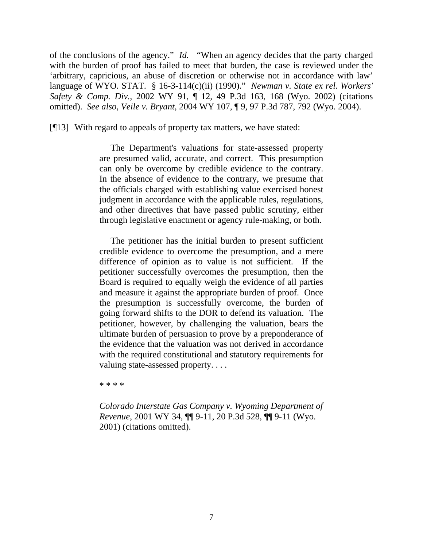of the conclusions of the agency." *Id.* "When an agency decides that the party charged with the burden of proof has failed to meet that burden, the case is reviewed under the 'arbitrary, capricious, an abuse of discretion or otherwise not in accordance with law' language of WYO. STAT. § 16-3-114(c)(ii) (1990)." *Newman v. State ex rel. Workers' Safety & Comp. Div.*, 2002 WY 91, ¶ 12, 49 P.3d 163, 168 (Wyo. 2002) (citations omitted). *See also*, *Veile v. Bryant,* 2004 WY 107, ¶ 9, 97 P.3d 787, 792 (Wyo. 2004).

[¶13] With regard to appeals of property tax matters, we have stated:

 The Department's valuations for state-assessed property are presumed valid, accurate, and correct. This presumption can only be overcome by credible evidence to the contrary. In the absence of evidence to the contrary, we presume that the officials charged with establishing value exercised honest judgment in accordance with the applicable rules, regulations, and other directives that have passed public scrutiny, either through legislative enactment or agency rule-making, or both.

 The petitioner has the initial burden to present sufficient credible evidence to overcome the presumption, and a mere difference of opinion as to value is not sufficient. If the petitioner successfully overcomes the presumption, then the Board is required to equally weigh the evidence of all parties and measure it against the appropriate burden of proof. Once the presumption is successfully overcome, the burden of going forward shifts to the DOR to defend its valuation. The petitioner, however, by challenging the valuation, bears the ultimate burden of persuasion to prove by a preponderance of the evidence that the valuation was not derived in accordance with the required constitutional and statutory requirements for valuing state-assessed property. . . .

\* \* \* \*

*Colorado Interstate Gas Company v. Wyoming Department of Revenue*, 2001 WY 34, ¶¶ 9-11, 20 P.3d 528, ¶¶ 9-11 (Wyo. 2001) (citations omitted).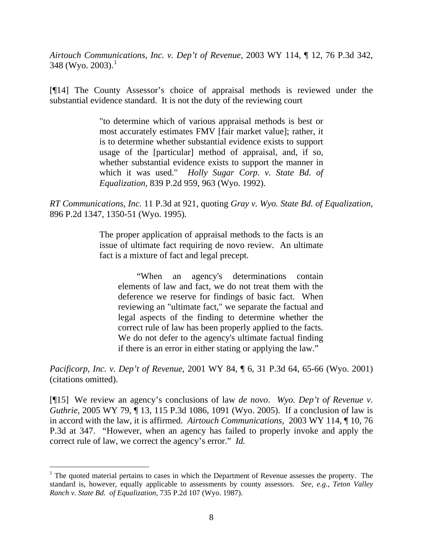*Airtouch Communications, Inc. v. Dep't of Revenue,* 2003 WY 114, ¶ 12, 76 P.3d 342, 348 (Wyo. 2003). $^1$  $^1$ 

[¶14] The County Assessor's choice of appraisal methods is reviewed under the substantial evidence standard. It is not the duty of the reviewing court

> "to determine which of various appraisal methods is best or most accurately estimates FMV [fair market value]; rather, it is to determine whether substantial evidence exists to support usage of the [particular] method of appraisal, and, if so, whether substantial evidence exists to support the manner in which it was used." *Holly Sugar Corp. v. State Bd. of Equalization,* 839 P.2d 959, 963 (Wyo. 1992).

*RT Communications, Inc.* 11 P.3d at 921, quoting *Gray v. Wyo. State Bd. of Equalization,*  896 P.2d 1347, 1350-51 (Wyo. 1995)*.*

> The proper application of appraisal methods to the facts is an issue of ultimate fact requiring de novo review. An ultimate fact is a mixture of fact and legal precept.

"When an agency's determinations contain elements of law and fact, we do not treat them with the deference we reserve for findings of basic fact. When reviewing an "ultimate fact," we separate the factual and legal aspects of the finding to determine whether the correct rule of law has been properly applied to the facts. We do not defer to the agency's ultimate factual finding if there is an error in either stating or applying the law."

*Pacificorp, Inc. v. Dep't of Revenue,* 2001 WY 84, ¶ 6, 31 P.3d 64, 65-66 (Wyo. 2001) (citations omitted).

[¶15] We review an agency's conclusions of law *de novo*. *Wyo. Dep't of Revenue v. Guthrie, 2005 WY 79,* 13, 115 P.3d 1086, 1091 (Wyo. 2005). If a conclusion of law is in accord with the law, it is affirmed. *Airtouch Communications,* 2003 WY 114, ¶ 10, 76 P.3d at 347. "However, when an agency has failed to properly invoke and apply the correct rule of law, we correct the agency's error." *Id.* 

<span id="page-9-0"></span> $<sup>1</sup>$  The quoted material pertains to cases in which the Department of Revenue assesses the property. The</sup> standard is, however, equally applicable to assessments by county assessors. *See, e.g*., *Teton Valley Ranch v. State Bd. of Equalization,* 735 P.2d 107 (Wyo. 1987).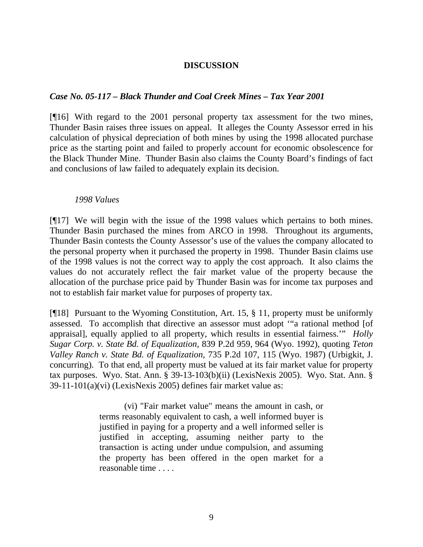### **DISCUSSION**

#### *Case No. 05-117 – Black Thunder and Coal Creek Mines – Tax Year 2001*

[¶16] With regard to the 2001 personal property tax assessment for the two mines, Thunder Basin raises three issues on appeal. It alleges the County Assessor erred in his calculation of physical depreciation of both mines by using the 1998 allocated purchase price as the starting point and failed to properly account for economic obsolescence for the Black Thunder Mine. Thunder Basin also claims the County Board's findings of fact and conclusions of law failed to adequately explain its decision.

#### *1998 Values*

[¶17] We will begin with the issue of the 1998 values which pertains to both mines. Thunder Basin purchased the mines from ARCO in 1998. Throughout its arguments, Thunder Basin contests the County Assessor's use of the values the company allocated to the personal property when it purchased the property in 1998. Thunder Basin claims use of the 1998 values is not the correct way to apply the cost approach. It also claims the values do not accurately reflect the fair market value of the property because the allocation of the purchase price paid by Thunder Basin was for income tax purposes and not to establish fair market value for purposes of property tax.

[¶18] Pursuant to the Wyoming Constitution, Art. 15, § 11, property must be uniformly assessed. To accomplish that directive an assessor must adopt '"a rational method [of appraisal], equally applied to all property, which results in essential fairness.'" *Holly Sugar Corp. v. State Bd. of Equalization,* 839 P.2d 959, 964 (Wyo. 1992), quoting *Teton Valley Ranch v. State Bd. of Equalization,* 735 P.2d 107, 115 (Wyo. 1987) (Urbigkit, J. concurring). To that end, all property must be valued at its fair market value for property tax purposes. Wyo. Stat. Ann. § 39-13-103(b)(ii) (LexisNexis 2005). Wyo. Stat. Ann. § 39-11-101(a)(vi) (LexisNexis 2005) defines fair market value as:

> (vi) "Fair market value" means the amount in cash, or terms reasonably equivalent to cash, a well informed buyer is justified in paying for a property and a well informed seller is justified in accepting, assuming neither party to the transaction is acting under undue compulsion, and assuming the property has been offered in the open market for a reasonable time . . . .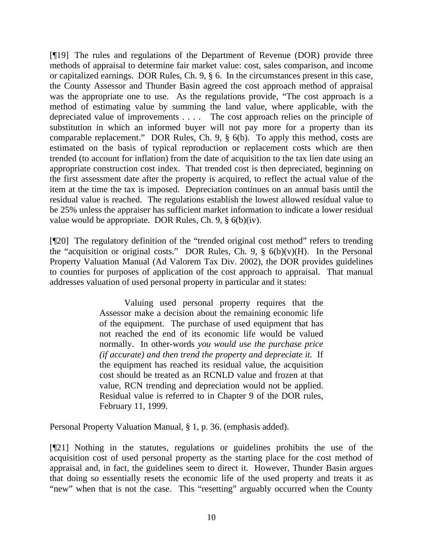[¶19] The rules and regulations of the Department of Revenue (DOR) provide three methods of appraisal to determine fair market value: cost, sales comparison, and income or capitalized earnings. DOR Rules, Ch. 9, § 6. In the circumstances present in this case, the County Assessor and Thunder Basin agreed the cost approach method of appraisal was the appropriate one to use. As the regulations provide, "The cost approach is a method of estimating value by summing the land value, where applicable, with the depreciated value of improvements . . . . The cost approach relies on the principle of substitution in which an informed buyer will not pay more for a property than its comparable replacement." DOR Rules, Ch. 9, § 6(b). To apply this method, costs are estimated on the basis of typical reproduction or replacement costs which are then trended (to account for inflation) from the date of acquisition to the tax lien date using an appropriate construction cost index. That trended cost is then depreciated, beginning on the first assessment date after the property is acquired, to reflect the actual value of the item at the time the tax is imposed. Depreciation continues on an annual basis until the residual value is reached. The regulations establish the lowest allowed residual value to be 25% unless the appraiser has sufficient market information to indicate a lower residual value would be appropriate. DOR Rules, Ch. 9, § 6(b)(iv).

[¶20] The regulatory definition of the "trended original cost method" refers to trending the "acquisition or original costs." DOR Rules, Ch. 9, § 6(b)(v)(H). In the Personal Property Valuation Manual (Ad Valorem Tax Div. 2002), the DOR provides guidelines to counties for purposes of application of the cost approach to appraisal. That manual addresses valuation of used personal property in particular and it states:

> Valuing used personal property requires that the Assessor make a decision about the remaining economic life of the equipment. The purchase of used equipment that has not reached the end of its economic life would be valued normally. In other-words *you would use the purchase price (if accurate) and then trend the property and depreciate it.* If the equipment has reached its residual value, the acquisition cost should be treated as an RCNLD value and frozen at that value, RCN trending and depreciation would not be applied. Residual value is referred to in Chapter 9 of the DOR rules, February 11, 1999.

Personal Property Valuation Manual, § 1, p. 36. (emphasis added).

[¶21] Nothing in the statutes, regulations or guidelines prohibits the use of the acquisition cost of used personal property as the starting place for the cost method of appraisal and, in fact, the guidelines seem to direct it. However, Thunder Basin argues that doing so essentially resets the economic life of the used property and treats it as "new" when that is not the case. This "resetting" arguably occurred when the County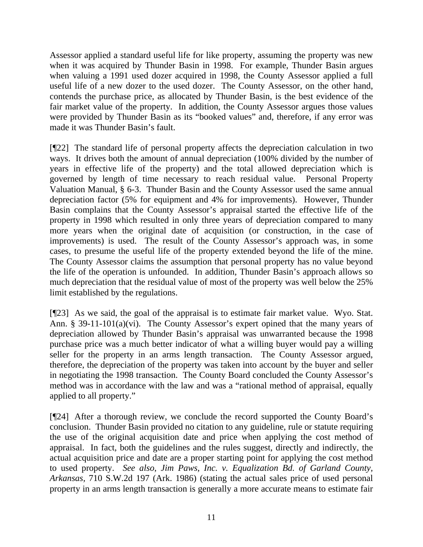Assessor applied a standard useful life for like property, assuming the property was new when it was acquired by Thunder Basin in 1998. For example, Thunder Basin argues when valuing a 1991 used dozer acquired in 1998, the County Assessor applied a full useful life of a new dozer to the used dozer. The County Assessor, on the other hand, contends the purchase price, as allocated by Thunder Basin, is the best evidence of the fair market value of the property. In addition, the County Assessor argues those values were provided by Thunder Basin as its "booked values" and, therefore, if any error was made it was Thunder Basin's fault.

[¶22] The standard life of personal property affects the depreciation calculation in two ways. It drives both the amount of annual depreciation (100% divided by the number of years in effective life of the property) and the total allowed depreciation which is governed by length of time necessary to reach residual value. Personal Property Valuation Manual, § 6-3. Thunder Basin and the County Assessor used the same annual depreciation factor (5% for equipment and 4% for improvements). However, Thunder Basin complains that the County Assessor's appraisal started the effective life of the property in 1998 which resulted in only three years of depreciation compared to many more years when the original date of acquisition (or construction, in the case of improvements) is used. The result of the County Assessor's approach was, in some cases, to presume the useful life of the property extended beyond the life of the mine. The County Assessor claims the assumption that personal property has no value beyond the life of the operation is unfounded. In addition, Thunder Basin's approach allows so much depreciation that the residual value of most of the property was well below the 25% limit established by the regulations.

[¶23] As we said, the goal of the appraisal is to estimate fair market value. Wyo. Stat. Ann. § 39-11-101(a)(vi). The County Assessor's expert opined that the many years of depreciation allowed by Thunder Basin's appraisal was unwarranted because the 1998 purchase price was a much better indicator of what a willing buyer would pay a willing seller for the property in an arms length transaction. The County Assessor argued, therefore, the depreciation of the property was taken into account by the buyer and seller in negotiating the 1998 transaction. The County Board concluded the County Assessor's method was in accordance with the law and was a "rational method of appraisal, equally applied to all property."

[¶24] After a thorough review, we conclude the record supported the County Board's conclusion. Thunder Basin provided no citation to any guideline, rule or statute requiring the use of the original acquisition date and price when applying the cost method of appraisal. In fact, both the guidelines and the rules suggest, directly and indirectly, the actual acquisition price and date are a proper starting point for applying the cost method to used property. *See also*, *Jim Paws, Inc. v. Equalization Bd. of Garland County, Arkansas,* 710 S.W.2d 197 (Ark. 1986) (stating the actual sales price of used personal property in an arms length transaction is generally a more accurate means to estimate fair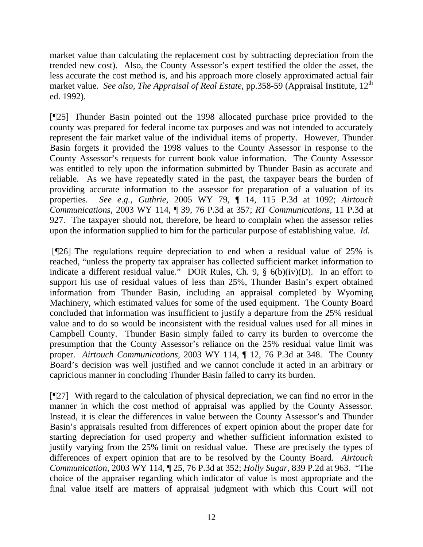market value than calculating the replacement cost by subtracting depreciation from the trended new cost). Also, the County Assessor's expert testified the older the asset, the less accurate the cost method is, and his approach more closely approximated actual fair market value. *See also, The Appraisal of Real Estate*, pp.358-59 (Appraisal Institute, 12<sup>th</sup> ed. 1992).

[¶25] Thunder Basin pointed out the 1998 allocated purchase price provided to the county was prepared for federal income tax purposes and was not intended to accurately represent the fair market value of the individual items of property. However, Thunder Basin forgets it provided the 1998 values to the County Assessor in response to the County Assessor's requests for current book value information. The County Assessor was entitled to rely upon the information submitted by Thunder Basin as accurate and reliable. As we have repeatedly stated in the past, the taxpayer bears the burden of providing accurate information to the assessor for preparation of a valuation of its properties. *See e.g.*, *Guthrie,* 2005 WY 79, ¶ 14, 115 P.3d at 1092; *Airtouch Communications,* 2003 WY 114, ¶ 39, 76 P.3d at 357; *RT Communications,* 11 P.3d at 927. The taxpayer should not, therefore, be heard to complain when the assessor relies upon the information supplied to him for the particular purpose of establishing value. *Id.* 

 [¶26] The regulations require depreciation to end when a residual value of 25% is reached, "unless the property tax appraiser has collected sufficient market information to indicate a different residual value." DOR Rules, Ch. 9, § 6(b)(iv)(D). In an effort to support his use of residual values of less than 25%, Thunder Basin's expert obtained information from Thunder Basin, including an appraisal completed by Wyoming Machinery, which estimated values for some of the used equipment. The County Board concluded that information was insufficient to justify a departure from the 25% residual value and to do so would be inconsistent with the residual values used for all mines in Campbell County. Thunder Basin simply failed to carry its burden to overcome the presumption that the County Assessor's reliance on the 25% residual value limit was proper. *Airtouch Communications,* 2003 WY 114, ¶ 12, 76 P.3d at 348. The County Board's decision was well justified and we cannot conclude it acted in an arbitrary or capricious manner in concluding Thunder Basin failed to carry its burden.

[¶27] With regard to the calculation of physical depreciation, we can find no error in the manner in which the cost method of appraisal was applied by the County Assessor. Instead, it is clear the differences in value between the County Assessor's and Thunder Basin's appraisals resulted from differences of expert opinion about the proper date for starting depreciation for used property and whether sufficient information existed to justify varying from the 25% limit on residual value. These are precisely the types of differences of expert opinion that are to be resolved by the County Board. *Airtouch Communication,* 2003 WY 114, ¶ 25, 76 P.3d at 352; *Holly Sugar,* 839 P.2d at 963. "The choice of the appraiser regarding which indicator of value is most appropriate and the final value itself are matters of appraisal judgment with which this Court will not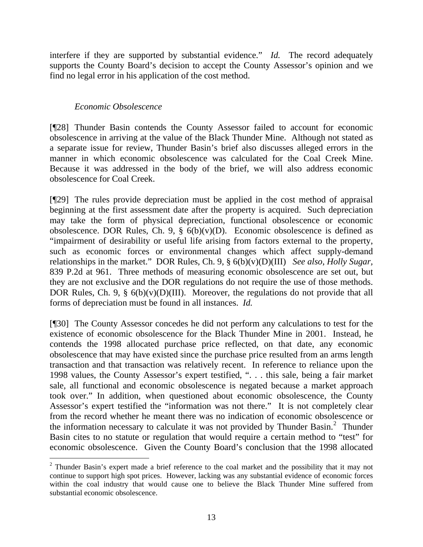interfere if they are supported by substantial evidence." *Id.* The record adequately supports the County Board's decision to accept the County Assessor's opinion and we find no legal error in his application of the cost method.

### *Economic Obsolescence*

l

[¶28] Thunder Basin contends the County Assessor failed to account for economic obsolescence in arriving at the value of the Black Thunder Mine. Although not stated as a separate issue for review, Thunder Basin's brief also discusses alleged errors in the manner in which economic obsolescence was calculated for the Coal Creek Mine. Because it was addressed in the body of the brief, we will also address economic obsolescence for Coal Creek.

[¶29] The rules provide depreciation must be applied in the cost method of appraisal beginning at the first assessment date after the property is acquired. Such depreciation may take the form of physical depreciation, functional obsolescence or economic obsolescence. DOR Rules, Ch. 9,  $\S$  6(b)(v)(D). Economic obsolescence is defined as "impairment of desirability or useful life arising from factors external to the property, such as economic forces or environmental changes which affect supply-demand relationships in the market." DOR Rules, Ch. 9, § 6(b)(v)(D)(III) *See also*, *Holly Sugar,*  839 P.2d at 961. Three methods of measuring economic obsolescence are set out, but they are not exclusive and the DOR regulations do not require the use of those methods. DOR Rules, Ch. 9,  $\S$  6(b)(v)(D)(III). Moreover, the regulations do not provide that all forms of depreciation must be found in all instances. *Id.* 

[¶30] The County Assessor concedes he did not perform any calculations to test for the existence of economic obsolescence for the Black Thunder Mine in 2001. Instead, he contends the 1998 allocated purchase price reflected, on that date, any economic obsolescence that may have existed since the purchase price resulted from an arms length transaction and that transaction was relatively recent. In reference to reliance upon the 1998 values, the County Assessor's expert testified, ". . . this sale, being a fair market sale, all functional and economic obsolescence is negated because a market approach took over." In addition, when questioned about economic obsolescence, the County Assessor's expert testified the "information was not there." It is not completely clear from the record whether he meant there was no indication of economic obsolescence or the information necessary to calculate it was not provided by Thunder Basin.<sup>[2](#page-14-0)</sup> Thunder Basin cites to no statute or regulation that would require a certain method to "test" for economic obsolescence. Given the County Board's conclusion that the 1998 allocated

<span id="page-14-0"></span> $2$  Thunder Basin's expert made a brief reference to the coal market and the possibility that it may not continue to support high spot prices. However, lacking was any substantial evidence of economic forces within the coal industry that would cause one to believe the Black Thunder Mine suffered from substantial economic obsolescence.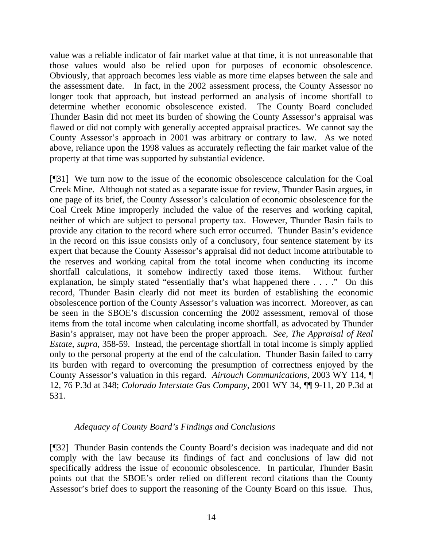value was a reliable indicator of fair market value at that time, it is not unreasonable that those values would also be relied upon for purposes of economic obsolescence. Obviously, that approach becomes less viable as more time elapses between the sale and the assessment date. In fact, in the 2002 assessment process, the County Assessor no longer took that approach, but instead performed an analysis of income shortfall to determine whether economic obsolescence existed. The County Board concluded Thunder Basin did not meet its burden of showing the County Assessor's appraisal was flawed or did not comply with generally accepted appraisal practices. We cannot say the County Assessor's approach in 2001 was arbitrary or contrary to law. As we noted above, reliance upon the 1998 values as accurately reflecting the fair market value of the property at that time was supported by substantial evidence.

[¶31] We turn now to the issue of the economic obsolescence calculation for the Coal Creek Mine. Although not stated as a separate issue for review, Thunder Basin argues, in one page of its brief, the County Assessor's calculation of economic obsolescence for the Coal Creek Mine improperly included the value of the reserves and working capital, neither of which are subject to personal property tax. However, Thunder Basin fails to provide any citation to the record where such error occurred. Thunder Basin's evidence in the record on this issue consists only of a conclusory, four sentence statement by its expert that because the County Assessor's appraisal did not deduct income attributable to the reserves and working capital from the total income when conducting its income shortfall calculations, it somehow indirectly taxed those items. Without further explanation, he simply stated "essentially that's what happened there . . . ." On this record, Thunder Basin clearly did not meet its burden of establishing the economic obsolescence portion of the County Assessor's valuation was incorrect. Moreover, as can be seen in the SBOE's discussion concerning the 2002 assessment, removal of those items from the total income when calculating income shortfall, as advocated by Thunder Basin's appraiser, may not have been the proper approach. *See*, *The Appraisal of Real Estate*, *supra,* 358-59. Instead, the percentage shortfall in total income is simply applied only to the personal property at the end of the calculation. Thunder Basin failed to carry its burden with regard to overcoming the presumption of correctness enjoyed by the County Assessor's valuation in this regard. *Airtouch Communications,* 2003 WY 114, ¶ 12, 76 P.3d at 348; *Colorado Interstate Gas Company,* 2001 WY 34, ¶¶ 9-11, 20 P.3d at 531.

### *Adequacy of County Board's Findings and Conclusions*

[¶32] Thunder Basin contends the County Board's decision was inadequate and did not comply with the law because its findings of fact and conclusions of law did not specifically address the issue of economic obsolescence. In particular, Thunder Basin points out that the SBOE's order relied on different record citations than the County Assessor's brief does to support the reasoning of the County Board on this issue. Thus,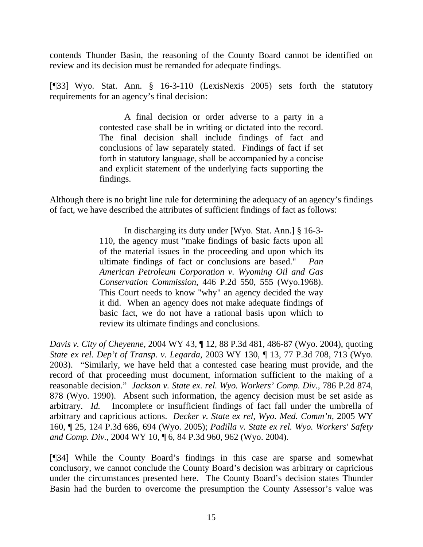contends Thunder Basin, the reasoning of the County Board cannot be identified on review and its decision must be remanded for adequate findings.

[¶33] Wyo. Stat. Ann. § 16-3-110 (LexisNexis 2005) sets forth the statutory requirements for an agency's final decision:

> A final decision or order adverse to a party in a contested case shall be in writing or dictated into the record. The final decision shall include findings of fact and conclusions of law separately stated. Findings of fact if set forth in statutory language, shall be accompanied by a concise and explicit statement of the underlying facts supporting the findings.

Although there is no bright line rule for determining the adequacy of an agency's findings of fact, we have described the attributes of sufficient findings of fact as follows:

> In discharging its duty under [Wyo. Stat. Ann.] § 16-3- 110, the agency must "make findings of basic facts upon all of the material issues in the proceeding and upon which its ultimate findings of fact or conclusions are based." *Pan American Petroleum Corporation v. Wyoming Oil and Gas Conservation Commission,* 446 P.2d 550, 555 (Wyo.1968). This Court needs to know "why" an agency decided the way it did. When an agency does not make adequate findings of basic fact, we do not have a rational basis upon which to review its ultimate findings and conclusions.

*Davis v. City of Cheyenne,* 2004 WY 43, ¶ 12, 88 P.3d 481, 486-87 (Wyo. 2004), quoting *State ex rel. Dep't of Transp. v. Legarda*, 2003 WY 130, ¶ 13, 77 P.3d 708, 713 (Wyo. 2003). "Similarly, we have held that a contested case hearing must provide, and the record of that proceeding must document, information sufficient to the making of a reasonable decision." *Jackson v. State ex. rel. Wyo. Workers' Comp. Div.*, 786 P.2d 874, 878 (Wyo. 1990). Absent such information, the agency decision must be set aside as arbitrary. *Id.* Incomplete or insufficient findings of fact fall under the umbrella of arbitrary and capricious actions. *Decker v. State ex rel, Wyo. Med. Comm'n,* 2005 WY 160, ¶ 25, 124 P.3d 686, 694 (Wyo. 2005); *Padilla v. State ex rel. Wyo. Workers' Safety and Comp. Div.,* 2004 WY 10, ¶ 6, 84 P.3d 960, 962 (Wyo. 2004).

[¶34] While the County Board's findings in this case are sparse and somewhat conclusory, we cannot conclude the County Board's decision was arbitrary or capricious under the circumstances presented here. The County Board's decision states Thunder Basin had the burden to overcome the presumption the County Assessor's value was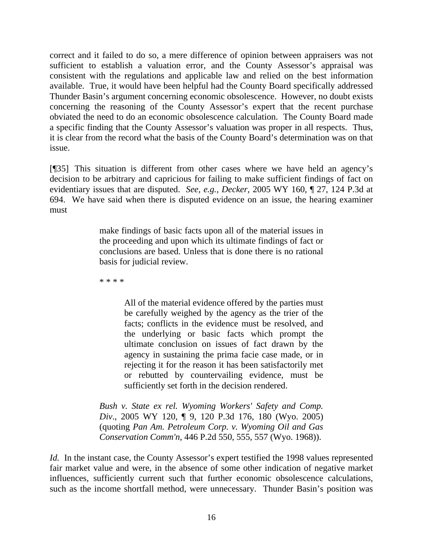correct and it failed to do so, a mere difference of opinion between appraisers was not sufficient to establish a valuation error, and the County Assessor's appraisal was consistent with the regulations and applicable law and relied on the best information available. True, it would have been helpful had the County Board specifically addressed Thunder Basin's argument concerning economic obsolescence. However, no doubt exists concerning the reasoning of the County Assessor's expert that the recent purchase obviated the need to do an economic obsolescence calculation. The County Board made a specific finding that the County Assessor's valuation was proper in all respects. Thus, it is clear from the record what the basis of the County Board's determination was on that issue.

[¶35] This situation is different from other cases where we have held an agency's decision to be arbitrary and capricious for failing to make sufficient findings of fact on evidentiary issues that are disputed. *See, e.g., Decker,* 2005 WY 160, ¶ 27, 124 P.3d at 694. We have said when there is disputed evidence on an issue, the hearing examiner must

> make findings of basic facts upon all of the material issues in the proceeding and upon which its ultimate findings of fact or conclusions are based. Unless that is done there is no rational basis for judicial review.

\* \* \* \*

All of the material evidence offered by the parties must be carefully weighed by the agency as the trier of the facts; conflicts in the evidence must be resolved, and the underlying or basic facts which prompt the ultimate conclusion on issues of fact drawn by the agency in sustaining the prima facie case made, or in rejecting it for the reason it has been satisfactorily met or rebutted by countervailing evidence, must be sufficiently set forth in the decision rendered.

*Bush v. State ex rel. Wyoming Workers' Safety and Comp. Div*., 2005 WY 120, ¶ 9, 120 P.3d 176, 180 (Wyo. 2005) (quoting *Pan Am. Petroleum Corp. v. Wyoming Oil and Gas Conservation Comm'n*, 446 P.2d 550, 555, 557 (Wyo. 1968)).

*Id.* In the instant case, the County Assessor's expert testified the 1998 values represented fair market value and were, in the absence of some other indication of negative market influences, sufficiently current such that further economic obsolescence calculations, such as the income shortfall method, were unnecessary. Thunder Basin's position was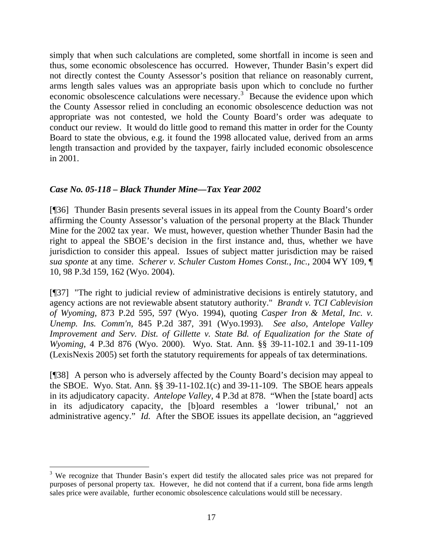simply that when such calculations are completed, some shortfall in income is seen and thus, some economic obsolescence has occurred. However, Thunder Basin's expert did not directly contest the County Assessor's position that reliance on reasonably current, arms length sales values was an appropriate basis upon which to conclude no further economic obsolescence calculations were necessary.<sup>[3](#page-18-0)</sup> Because the evidence upon which the County Assessor relied in concluding an economic obsolescence deduction was not appropriate was not contested, we hold the County Board's order was adequate to conduct our review. It would do little good to remand this matter in order for the County Board to state the obvious, e.g. it found the 1998 allocated value, derived from an arms length transaction and provided by the taxpayer, fairly included economic obsolescence in 2001.

# *Case No. 05-118 – Black Thunder Mine—Tax Year 2002*

[¶36] Thunder Basin presents several issues in its appeal from the County Board's order affirming the County Assessor's valuation of the personal property at the Black Thunder Mine for the 2002 tax year. We must, however, question whether Thunder Basin had the right to appeal the SBOE's decision in the first instance and, thus, whether we have jurisdiction to consider this appeal. Issues of subject matter jurisdiction may be raised *sua sponte* at any time. *Scherer v. Schuler Custom Homes Const., Inc.,* 2004 WY 109, ¶ 10, 98 P.3d 159, 162 (Wyo. 2004).

[¶37] "The right to judicial review of administrative decisions is entirely statutory, and agency actions are not reviewable absent statutory authority." *Brandt v. TCI Cablevision of Wyoming,* 873 P.2d 595, 597 (Wyo. 1994), quoting *Casper Iron & Metal, Inc. v. Unemp. Ins. Comm'n*, 845 P.2d 387, 391 (Wyo.1993). *See also*, *Antelope Valley Improvement and Serv. Dist. of Gillette v. State Bd. of Equalization for the State of Wyoming,* 4 P.3d 876 (Wyo. 2000). Wyo. Stat. Ann. §§ 39-11-102.1 and 39-11-109 (LexisNexis 2005) set forth the statutory requirements for appeals of tax determinations.

[¶38] A person who is adversely affected by the County Board's decision may appeal to the SBOE. Wyo. Stat. Ann. §§ 39-11-102.1(c) and 39-11-109. The SBOE hears appeals in its adjudicatory capacity. *Antelope Valley,* 4 P.3d at 878. "When the [state board] acts in its adjudicatory capacity, the [b]oard resembles a 'lower tribunal,' not an administrative agency." *Id.* After the SBOE issues its appellate decision, an "aggrieved

<span id="page-18-0"></span><sup>&</sup>lt;sup>3</sup> We recognize that Thunder Basin's expert did testify the allocated sales price was not prepared for purposes of personal property tax. However, he did not contend that if a current, bona fide arms length sales price were available, further economic obsolescence calculations would still be necessary.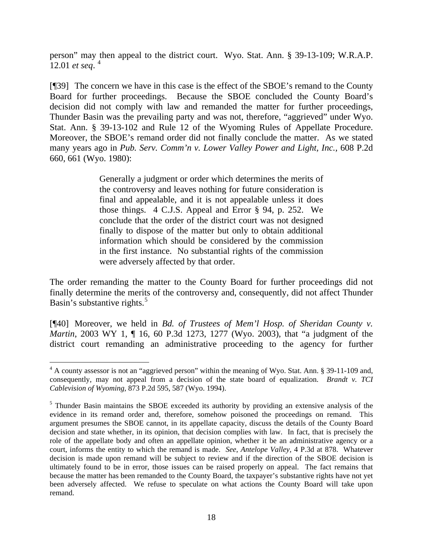person" may then appeal to the district court. Wyo. Stat. Ann. § 39-13-109; W.R.A.P. 12.01 *et seq*. [4](#page-19-0)

[¶39] The concern we have in this case is the effect of the SBOE's remand to the County Board for further proceedings. Because the SBOE concluded the County Board's decision did not comply with law and remanded the matter for further proceedings, Thunder Basin was the prevailing party and was not, therefore, "aggrieved" under Wyo. Stat. Ann. § 39-13-102 and Rule 12 of the Wyoming Rules of Appellate Procedure. Moreover, the SBOE's remand order did not finally conclude the matter. As we stated many years ago in *Pub. Serv. Comm'n v. Lower Valley Power and Light, Inc.*, 608 P.2d 660, 661 (Wyo. 1980):

> Generally a judgment or order which determines the merits of the controversy and leaves nothing for future consideration is final and appealable, and it is not appealable unless it does those things. 4 C.J.S. Appeal and Error § 94, p. 252. We conclude that the order of the district court was not designed finally to dispose of the matter but only to obtain additional information which should be considered by the commission in the first instance. No substantial rights of the commission were adversely affected by that order.

The order remanding the matter to the County Board for further proceedings did not finally determine the merits of the controversy and, consequently, did not affect Thunder Basin's substantive rights. $5$ 

[¶40] Moreover, we held in *Bd. of Trustees of Mem'l Hosp. of Sheridan County v. Martin*, 2003 WY 1, ¶ 16, 60 P.3d 1273, 1277 (Wyo. 2003), that "a judgment of the district court remanding an administrative proceeding to the agency for further

l

<span id="page-19-0"></span><sup>&</sup>lt;sup>4</sup> A county assessor is not an "aggrieved person" within the meaning of Wyo. Stat. Ann. § 39-11-109 and, consequently, may not appeal from a decision of the state board of equalization. *Brandt v. TCI Cablevision of Wyoming,* 873 P.2d 595, 587 (Wyo. 1994).

<span id="page-19-1"></span><sup>&</sup>lt;sup>5</sup> Thunder Basin maintains the SBOE exceeded its authority by providing an extensive analysis of the evidence in its remand order and, therefore, somehow poisoned the proceedings on remand. This argument presumes the SBOE cannot, in its appellate capacity, discuss the details of the County Board decision and state whether, in its opinion, that decision complies with law. In fact, that is precisely the role of the appellate body and often an appellate opinion, whether it be an administrative agency or a court, informs the entity to which the remand is made. *See*, *Antelope Valley,* 4 P.3d at 878. Whatever decision is made upon remand will be subject to review and if the direction of the SBOE decision is ultimately found to be in error, those issues can be raised properly on appeal. The fact remains that because the matter has been remanded to the County Board, the taxpayer's substantive rights have not yet been adversely affected. We refuse to speculate on what actions the County Board will take upon remand.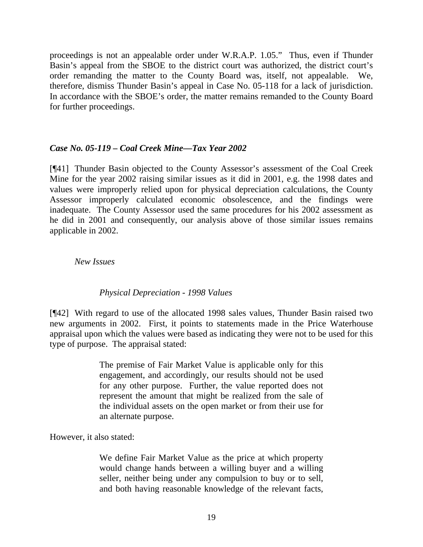proceedings is not an appealable order under W.R.A.P. 1.05." Thus, even if Thunder Basin's appeal from the SBOE to the district court was authorized, the district court's order remanding the matter to the County Board was, itself, not appealable. We, therefore, dismiss Thunder Basin's appeal in Case No. 05-118 for a lack of jurisdiction. In accordance with the SBOE's order, the matter remains remanded to the County Board for further proceedings.

### *Case No. 05-119 – Coal Creek Mine—Tax Year 2002*

[¶41] Thunder Basin objected to the County Assessor's assessment of the Coal Creek Mine for the year 2002 raising similar issues as it did in 2001, e.g. the 1998 dates and values were improperly relied upon for physical depreciation calculations, the County Assessor improperly calculated economic obsolescence, and the findings were inadequate. The County Assessor used the same procedures for his 2002 assessment as he did in 2001 and consequently, our analysis above of those similar issues remains applicable in 2002.

### *New Issues*

### *Physical Depreciation - 1998 Values*

[¶42] With regard to use of the allocated 1998 sales values, Thunder Basin raised two new arguments in 2002. First, it points to statements made in the Price Waterhouse appraisal upon which the values were based as indicating they were not to be used for this type of purpose. The appraisal stated:

> The premise of Fair Market Value is applicable only for this engagement, and accordingly, our results should not be used for any other purpose. Further, the value reported does not represent the amount that might be realized from the sale of the individual assets on the open market or from their use for an alternate purpose.

However, it also stated:

We define Fair Market Value as the price at which property would change hands between a willing buyer and a willing seller, neither being under any compulsion to buy or to sell, and both having reasonable knowledge of the relevant facts,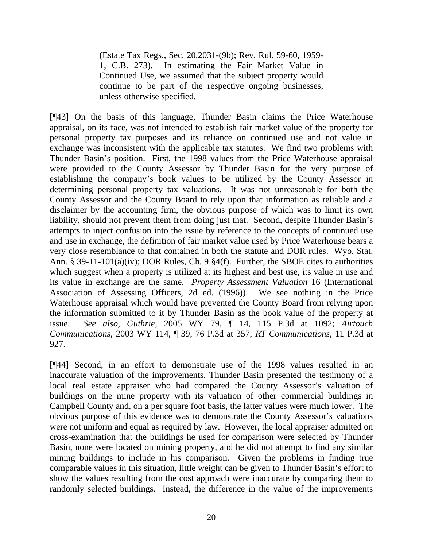(Estate Tax Regs., Sec. 20.2031-(9b); Rev. Rul. 59-60, 1959- 1, C.B. 273). In estimating the Fair Market Value in Continued Use, we assumed that the subject property would continue to be part of the respective ongoing businesses, unless otherwise specified.

[¶43] On the basis of this language, Thunder Basin claims the Price Waterhouse appraisal, on its face, was not intended to establish fair market value of the property for personal property tax purposes and its reliance on continued use and not value in exchange was inconsistent with the applicable tax statutes. We find two problems with Thunder Basin's position. First, the 1998 values from the Price Waterhouse appraisal were provided to the County Assessor by Thunder Basin for the very purpose of establishing the company's book values to be utilized by the County Assessor in determining personal property tax valuations. It was not unreasonable for both the County Assessor and the County Board to rely upon that information as reliable and a disclaimer by the accounting firm, the obvious purpose of which was to limit its own liability, should not prevent them from doing just that. Second, despite Thunder Basin's attempts to inject confusion into the issue by reference to the concepts of continued use and use in exchange, the definition of fair market value used by Price Waterhouse bears a very close resemblance to that contained in both the statute and DOR rules. Wyo. Stat. Ann. § 39-11-101(a)(iv); DOR Rules, Ch. 9 §4(f). Further, the SBOE cites to authorities which suggest when a property is utilized at its highest and best use, its value in use and its value in exchange are the same. *Property Assessment Valuation* 16 (International Association of Assessing Officers, 2d ed. (1996)). We see nothing in the Price Waterhouse appraisal which would have prevented the County Board from relying upon the information submitted to it by Thunder Basin as the book value of the property at issue. *See also*, *Guthrie,* 2005 WY 79, ¶ 14, 115 P.3d at 1092; *Airtouch Communications,* 2003 WY 114, ¶ 39, 76 P.3d at 357; *RT Communications,* 11 P.3d at 927.

[¶44] Second, in an effort to demonstrate use of the 1998 values resulted in an inaccurate valuation of the improvements, Thunder Basin presented the testimony of a local real estate appraiser who had compared the County Assessor's valuation of buildings on the mine property with its valuation of other commercial buildings in Campbell County and, on a per square foot basis, the latter values were much lower. The obvious purpose of this evidence was to demonstrate the County Assessor's valuations were not uniform and equal as required by law. However, the local appraiser admitted on cross-examination that the buildings he used for comparison were selected by Thunder Basin, none were located on mining property, and he did not attempt to find any similar mining buildings to include in his comparison. Given the problems in finding true comparable values in this situation, little weight can be given to Thunder Basin's effort to show the values resulting from the cost approach were inaccurate by comparing them to randomly selected buildings. Instead, the difference in the value of the improvements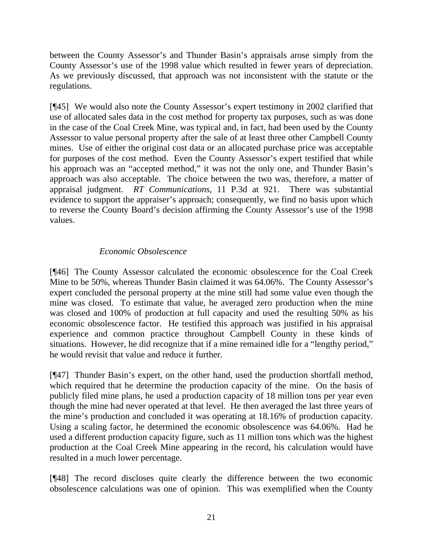between the County Assessor's and Thunder Basin's appraisals arose simply from the County Assessor's use of the 1998 value which resulted in fewer years of depreciation. As we previously discussed, that approach was not inconsistent with the statute or the regulations.

[¶45] We would also note the County Assessor's expert testimony in 2002 clarified that use of allocated sales data in the cost method for property tax purposes, such as was done in the case of the Coal Creek Mine, was typical and, in fact, had been used by the County Assessor to value personal property after the sale of at least three other Campbell County mines. Use of either the original cost data or an allocated purchase price was acceptable for purposes of the cost method. Even the County Assessor's expert testified that while his approach was an "accepted method," it was not the only one, and Thunder Basin's approach was also acceptable. The choice between the two was, therefore, a matter of appraisal judgment. *RT Communications,* 11 P.3d at 921. There was substantial evidence to support the appraiser's approach; consequently, we find no basis upon which to reverse the County Board's decision affirming the County Assessor's use of the 1998 values.

# *Economic Obsolescence*

[¶46] The County Assessor calculated the economic obsolescence for the Coal Creek Mine to be 50%, whereas Thunder Basin claimed it was 64.06%. The County Assessor's expert concluded the personal property at the mine still had some value even though the mine was closed. To estimate that value, he averaged zero production when the mine was closed and 100% of production at full capacity and used the resulting 50% as his economic obsolescence factor. He testified this approach was justified in his appraisal experience and common practice throughout Campbell County in these kinds of situations. However, he did recognize that if a mine remained idle for a "lengthy period," he would revisit that value and reduce it further.

[¶47] Thunder Basin's expert, on the other hand, used the production shortfall method, which required that he determine the production capacity of the mine. On the basis of publicly filed mine plans, he used a production capacity of 18 million tons per year even though the mine had never operated at that level. He then averaged the last three years of the mine's production and concluded it was operating at 18.16% of production capacity. Using a scaling factor, he determined the economic obsolescence was 64.06%. Had he used a different production capacity figure, such as 11 million tons which was the highest production at the Coal Creek Mine appearing in the record, his calculation would have resulted in a much lower percentage.

[¶48] The record discloses quite clearly the difference between the two economic obsolescence calculations was one of opinion. This was exemplified when the County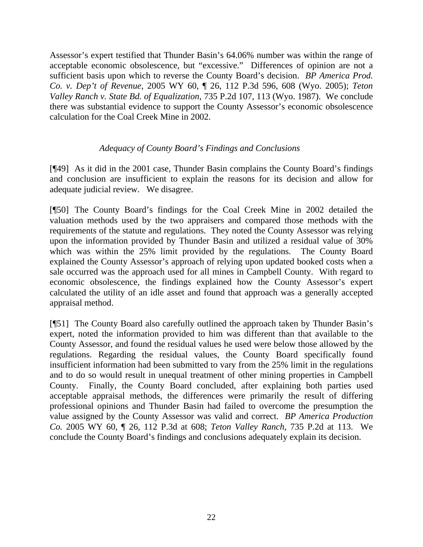Assessor's expert testified that Thunder Basin's 64.06% number was within the range of acceptable economic obsolescence, but "excessive." Differences of opinion are not a sufficient basis upon which to reverse the County Board's decision. *BP America Prod. Co. v. Dep't of Revenue,* 2005 WY 60, ¶ 26, 112 P.3d 596, 608 (Wyo. 2005); *Teton Valley Ranch v. State Bd. of Equalization*, 735 P.2d 107, 113 (Wyo. 1987). We conclude there was substantial evidence to support the County Assessor's economic obsolescence calculation for the Coal Creek Mine in 2002.

# *Adequacy of County Board's Findings and Conclusions*

[¶49] As it did in the 2001 case, Thunder Basin complains the County Board's findings and conclusion are insufficient to explain the reasons for its decision and allow for adequate judicial review. We disagree.

[¶50] The County Board's findings for the Coal Creek Mine in 2002 detailed the valuation methods used by the two appraisers and compared those methods with the requirements of the statute and regulations. They noted the County Assessor was relying upon the information provided by Thunder Basin and utilized a residual value of 30% which was within the 25% limit provided by the regulations. The County Board explained the County Assessor's approach of relying upon updated booked costs when a sale occurred was the approach used for all mines in Campbell County. With regard to economic obsolescence, the findings explained how the County Assessor's expert calculated the utility of an idle asset and found that approach was a generally accepted appraisal method.

[¶51] The County Board also carefully outlined the approach taken by Thunder Basin's expert, noted the information provided to him was different than that available to the County Assessor, and found the residual values he used were below those allowed by the regulations. Regarding the residual values, the County Board specifically found insufficient information had been submitted to vary from the 25% limit in the regulations and to do so would result in unequal treatment of other mining properties in Campbell County. Finally, the County Board concluded, after explaining both parties used acceptable appraisal methods, the differences were primarily the result of differing professional opinions and Thunder Basin had failed to overcome the presumption the value assigned by the County Assessor was valid and correct. *BP America Production Co.* 2005 WY 60, ¶ 26, 112 P.3d at 608; *Teton Valley Ranch*, 735 P.2d at 113. We conclude the County Board's findings and conclusions adequately explain its decision.